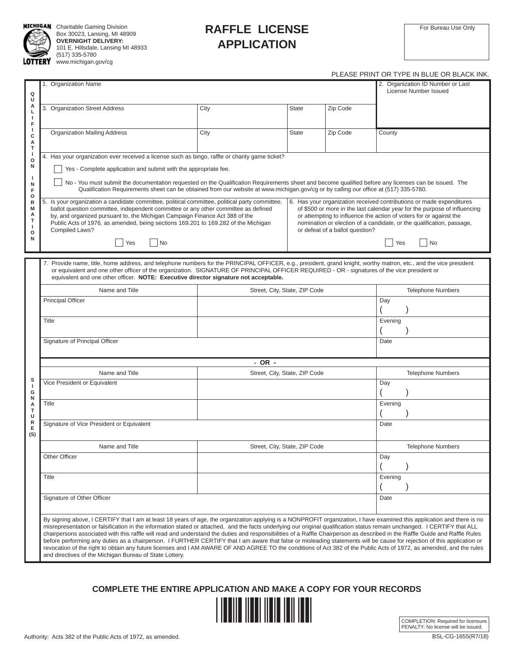

**MICHIGAN** Charitable Gaming Division Box 30023, Lansing, MI 48909 **OVERNIGHT DELIVERY:** 101 E. Hillsdale, Lansing MI 48933 (517) 335-5780 **OTTERY** www.michigan.gov/cg

## **RAFFLE LICENSE APPLICATION**

## PLEASE PRINT OR TYPE IN BLUE OR BLACK INK.

|                                                       |                                                                                                                                                                                                                                                                                                                                                                                                                                                                                                                                                                                                                                                                                                                                                                                                                                                                                                                                                   |                                                                                                                                                                                                                                                                                                  |                               |          | 9 LININ I YN I II E IN DEUE |  |  |  |
|-------------------------------------------------------|---------------------------------------------------------------------------------------------------------------------------------------------------------------------------------------------------------------------------------------------------------------------------------------------------------------------------------------------------------------------------------------------------------------------------------------------------------------------------------------------------------------------------------------------------------------------------------------------------------------------------------------------------------------------------------------------------------------------------------------------------------------------------------------------------------------------------------------------------------------------------------------------------------------------------------------------------|--------------------------------------------------------------------------------------------------------------------------------------------------------------------------------------------------------------------------------------------------------------------------------------------------|-------------------------------|----------|-----------------------------|--|--|--|
| Q<br>U                                                | 1. Organization Name                                                                                                                                                                                                                                                                                                                                                                                                                                                                                                                                                                                                                                                                                                                                                                                                                                                                                                                              | 2. Organization ID Number or Last<br>License Number Issued                                                                                                                                                                                                                                       |                               |          |                             |  |  |  |
| А<br>L<br>J.<br>F                                     | 3. Organization Street Address                                                                                                                                                                                                                                                                                                                                                                                                                                                                                                                                                                                                                                                                                                                                                                                                                                                                                                                    | City                                                                                                                                                                                                                                                                                             | <b>State</b>                  | Zip Code |                             |  |  |  |
| J.<br>c<br>А<br>T                                     | <b>Organization Mailing Address</b>                                                                                                                                                                                                                                                                                                                                                                                                                                                                                                                                                                                                                                                                                                                                                                                                                                                                                                               | City                                                                                                                                                                                                                                                                                             | <b>State</b>                  | Zip Code | County                      |  |  |  |
| $\mathbf{I}$<br>$\mathsf{o}$<br>N<br>H<br>N<br>F<br>o | 4. Has your organization ever received a license such as bingo, raffle or charity game ticket?<br>Yes - Complete application and submit with the appropriate fee.<br>No - You must submit the documentation requested on the Qualification Requirements sheet and become qualified before any licenses can be issued. The<br>Qualification Requirements sheet can be obtained from our website at www.michigan.gov/cg or by calling our office at (517) 335-5780.                                                                                                                                                                                                                                                                                                                                                                                                                                                                                 |                                                                                                                                                                                                                                                                                                  |                               |          |                             |  |  |  |
| R<br>M<br>А<br>т<br>ı<br>o<br>N                       | 5.<br>Is your organization a candidate committee, political committee, political party committee,<br>ballot question committee, independent committee or any other committee as defined<br>by, and organized pursuant to, the Michigan Campaign Finance Act 388 of the<br>Public Acts of 1976, as amended, being sections 169.201 to 169.282 of the Michigan<br>Compiled Laws?                                                                                                                                                                                                                                                                                                                                                                                                                                                                                                                                                                    | 6. Has your organization received contributions or made expenditures<br>of \$500 or more in the last calendar year for the purpose of influencing<br>or attempting to influence the action of voters for or against the<br>nomination or election of a candidate, or the qualification, passage, |                               |          |                             |  |  |  |
|                                                       | Yes<br>  No                                                                                                                                                                                                                                                                                                                                                                                                                                                                                                                                                                                                                                                                                                                                                                                                                                                                                                                                       |                                                                                                                                                                                                                                                                                                  |                               |          | Yes<br>  No                 |  |  |  |
|                                                       | 7. Provide name, title, home address, and telephone numbers for the PRINCIPAL OFFICER, e.g., president, grand knight, worthy matron, etc., and the vice president<br>or equivalent and one other officer of the organization. SIGNATURE OF PRINCIPAL OFFICER REQUIRED - OR - signatures of the vice president or<br>equivalent and one other officer. NOTE: Executive director signature not acceptable.                                                                                                                                                                                                                                                                                                                                                                                                                                                                                                                                          |                                                                                                                                                                                                                                                                                                  |                               |          |                             |  |  |  |
|                                                       | Name and Title                                                                                                                                                                                                                                                                                                                                                                                                                                                                                                                                                                                                                                                                                                                                                                                                                                                                                                                                    | <b>Telephone Numbers</b>                                                                                                                                                                                                                                                                         |                               |          |                             |  |  |  |
|                                                       | <b>Principal Officer</b>                                                                                                                                                                                                                                                                                                                                                                                                                                                                                                                                                                                                                                                                                                                                                                                                                                                                                                                          |                                                                                                                                                                                                                                                                                                  |                               |          | Day                         |  |  |  |
|                                                       | Title                                                                                                                                                                                                                                                                                                                                                                                                                                                                                                                                                                                                                                                                                                                                                                                                                                                                                                                                             |                                                                                                                                                                                                                                                                                                  |                               |          | Evening                     |  |  |  |
|                                                       | Signature of Principal Officer<br>Date                                                                                                                                                                                                                                                                                                                                                                                                                                                                                                                                                                                                                                                                                                                                                                                                                                                                                                            |                                                                                                                                                                                                                                                                                                  |                               |          |                             |  |  |  |
|                                                       |                                                                                                                                                                                                                                                                                                                                                                                                                                                                                                                                                                                                                                                                                                                                                                                                                                                                                                                                                   | - OR -                                                                                                                                                                                                                                                                                           |                               |          |                             |  |  |  |
|                                                       | Name and Title                                                                                                                                                                                                                                                                                                                                                                                                                                                                                                                                                                                                                                                                                                                                                                                                                                                                                                                                    |                                                                                                                                                                                                                                                                                                  | Street, City, State, ZIP Code |          | <b>Telephone Numbers</b>    |  |  |  |
| s<br>J.<br>G<br>N                                     | Vice President or Equivalent                                                                                                                                                                                                                                                                                                                                                                                                                                                                                                                                                                                                                                                                                                                                                                                                                                                                                                                      |                                                                                                                                                                                                                                                                                                  |                               |          | Day                         |  |  |  |
| А<br>т<br>U                                           | Title                                                                                                                                                                                                                                                                                                                                                                                                                                                                                                                                                                                                                                                                                                                                                                                                                                                                                                                                             |                                                                                                                                                                                                                                                                                                  |                               |          | Evening                     |  |  |  |
| R<br>E<br>(S)                                         | Signature of Vice President or Equivalent<br>Date                                                                                                                                                                                                                                                                                                                                                                                                                                                                                                                                                                                                                                                                                                                                                                                                                                                                                                 |                                                                                                                                                                                                                                                                                                  |                               |          |                             |  |  |  |
|                                                       | Name and Title                                                                                                                                                                                                                                                                                                                                                                                                                                                                                                                                                                                                                                                                                                                                                                                                                                                                                                                                    |                                                                                                                                                                                                                                                                                                  | Street, City, State, ZIP Code |          | <b>Telephone Numbers</b>    |  |  |  |
|                                                       | Other Officer                                                                                                                                                                                                                                                                                                                                                                                                                                                                                                                                                                                                                                                                                                                                                                                                                                                                                                                                     |                                                                                                                                                                                                                                                                                                  |                               |          | Day                         |  |  |  |
|                                                       | Title                                                                                                                                                                                                                                                                                                                                                                                                                                                                                                                                                                                                                                                                                                                                                                                                                                                                                                                                             |                                                                                                                                                                                                                                                                                                  |                               |          | Evening                     |  |  |  |
|                                                       | Signature of Other Officer                                                                                                                                                                                                                                                                                                                                                                                                                                                                                                                                                                                                                                                                                                                                                                                                                                                                                                                        |                                                                                                                                                                                                                                                                                                  |                               |          | Date                        |  |  |  |
|                                                       | By signing above, I CERTIFY that I am at least 18 years of age, the organization applying is a NONPROFIT organization, I have examined this application and there is no<br>misrepresentation or falsification in the information stated or attached, and the facts underlying our original qualification status remain unchanged. I CERTIFY that ALL<br>chairpersons associated with this raffle will read and understand the duties and responsibilities of a Raffle Chairperson as described in the Raffle Guide and Raffle Rules<br>before performing any duties as a chairperson. I FURTHER CERTIFY that I am aware that false or misleading statements will be cause for rejection of this application or<br>revocation of the right to obtain any future licenses and I AM AWARE OF AND AGREE TO the conditions of Act 382 of the Public Acts of 1972, as amended, and the rules<br>and directives of the Michigan Bureau of State Lottery. |                                                                                                                                                                                                                                                                                                  |                               |          |                             |  |  |  |

**COMPLETE THE ENTIRE APPLICATION AND MAKE A COPY FOR YOUR RECORDS**



COMPLETION: Required for licensure. PENALTY: No license will be issued.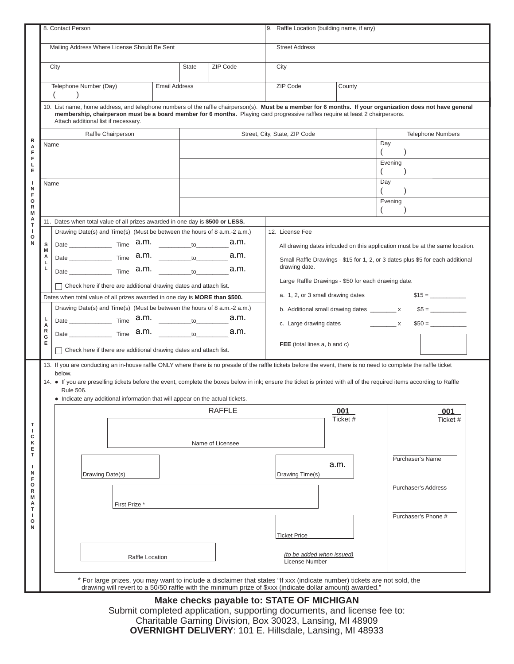|                                       | 8. Contact Person                                                                                                                                                                                                                                                                                                                    |                                                                                                                                                                    |                      |                               | 9. Raffle Location (building name, if any)                                   |                                                                                |                           |  |  |
|---------------------------------------|--------------------------------------------------------------------------------------------------------------------------------------------------------------------------------------------------------------------------------------------------------------------------------------------------------------------------------------|--------------------------------------------------------------------------------------------------------------------------------------------------------------------|----------------------|-------------------------------|------------------------------------------------------------------------------|--------------------------------------------------------------------------------|---------------------------|--|--|
|                                       | Mailing Address Where License Should Be Sent                                                                                                                                                                                                                                                                                         |                                                                                                                                                                    |                      |                               | <b>Street Address</b>                                                        |                                                                                |                           |  |  |
|                                       |                                                                                                                                                                                                                                                                                                                                      | City                                                                                                                                                               |                      | ZIP Code                      | City                                                                         |                                                                                |                           |  |  |
|                                       | Telephone Number (Day)<br>$\mathcal{E}$                                                                                                                                                                                                                                                                                              |                                                                                                                                                                    | <b>Email Address</b> |                               | ZIP Code                                                                     | County                                                                         |                           |  |  |
| R<br>А<br>F<br>F<br>L<br>Е<br>-1<br>N | 10. List name, home address, and telephone numbers of the raffle chairperson(s). Must be a member for 6 months. If your organization does not have general<br>membership, chairperson must be a board member for 6 months. Playing card progressive raffles require at least 2 chairpersons.<br>Attach additional list if necessary. |                                                                                                                                                                    |                      |                               |                                                                              |                                                                                |                           |  |  |
|                                       | Raffle Chairperson                                                                                                                                                                                                                                                                                                                   |                                                                                                                                                                    |                      | Street, City, State, ZIP Code |                                                                              | <b>Telephone Numbers</b>                                                       |                           |  |  |
|                                       | Name                                                                                                                                                                                                                                                                                                                                 |                                                                                                                                                                    |                      |                               |                                                                              | Day                                                                            |                           |  |  |
|                                       |                                                                                                                                                                                                                                                                                                                                      |                                                                                                                                                                    |                      |                               |                                                                              |                                                                                | $\overline{ }$<br>Evening |  |  |
|                                       |                                                                                                                                                                                                                                                                                                                                      |                                                                                                                                                                    |                      |                               |                                                                              |                                                                                | $\left($                  |  |  |
|                                       | Name                                                                                                                                                                                                                                                                                                                                 |                                                                                                                                                                    |                      |                               |                                                                              |                                                                                | Day<br>$\left($           |  |  |
| F<br>$\circ$<br>R                     |                                                                                                                                                                                                                                                                                                                                      |                                                                                                                                                                    |                      |                               |                                                                              |                                                                                | Evening                   |  |  |
| M<br>А                                |                                                                                                                                                                                                                                                                                                                                      | 11. Dates when total value of all prizes awarded in one day is \$500 or LESS.                                                                                      |                      |                               |                                                                              |                                                                                |                           |  |  |
| т<br>J.                               |                                                                                                                                                                                                                                                                                                                                      | Drawing Date(s) and Time(s) (Must be between the hours of 8 a.m.-2 a.m.)                                                                                           |                      |                               | 12. License Fee                                                              |                                                                                |                           |  |  |
| $\circ$<br>N                          | s                                                                                                                                                                                                                                                                                                                                    |                                                                                                                                                                    |                      | a.m.                          | All drawing dates inlcuded on this application must be at the same location. |                                                                                |                           |  |  |
|                                       | M<br>A                                                                                                                                                                                                                                                                                                                               |                                                                                                                                                                    |                      | a.m.                          |                                                                              | Small Raffle Drawings - \$15 for 1, 2, or 3 dates plus \$5 for each additional |                           |  |  |
|                                       | Г<br>ц                                                                                                                                                                                                                                                                                                                               | Date $\frac{1}{\text{Time}}$ a.m. $\frac{1}{\text{total}}$                                                                                                         |                      | a.m.                          | drawing date.                                                                |                                                                                |                           |  |  |
|                                       |                                                                                                                                                                                                                                                                                                                                      |                                                                                                                                                                    |                      |                               | Large Raffle Drawings - \$50 for each drawing date.                          |                                                                                |                           |  |  |
|                                       | $\Box$ Check here if there are additional drawing dates and attach list.<br>Dates when total value of all prizes awarded in one day is MORE than \$500.                                                                                                                                                                              |                                                                                                                                                                    |                      |                               | a. 1, 2, or 3 small drawing dates                                            |                                                                                |                           |  |  |
|                                       | Drawing Date(s) and Time(s) (Must be between the hours of 8 a.m.-2 a.m.)                                                                                                                                                                                                                                                             |                                                                                                                                                                    |                      |                               | b. Additional small drawing dates ________ x<br>$$5 =$                       |                                                                                |                           |  |  |
|                                       |                                                                                                                                                                                                                                                                                                                                      |                                                                                                                                                                    |                      | a.m.                          | c. Large drawing dates ___________ x                                         |                                                                                |                           |  |  |
|                                       | А<br>R<br>G                                                                                                                                                                                                                                                                                                                          | Date $\frac{1}{\sqrt{1}}$ Time $\frac{1}{\sqrt{1}}$ a.m.                                                                                                           |                      | a.m.                          |                                                                              |                                                                                |                           |  |  |
|                                       | Е                                                                                                                                                                                                                                                                                                                                    | Check here if there are additional drawing dates and attach list.                                                                                                  |                      |                               | FEE (total lines a, b and c)                                                 |                                                                                |                           |  |  |
|                                       |                                                                                                                                                                                                                                                                                                                                      | 13. If you are conducting an in-house raffle ONLY where there is no presale of the raffle tickets before the event, there is no need to complete the raffle ticket |                      |                               |                                                                              |                                                                                |                           |  |  |
|                                       |                                                                                                                                                                                                                                                                                                                                      | below.                                                                                                                                                             |                      |                               |                                                                              |                                                                                |                           |  |  |
|                                       | 14. • If you are preselling tickets before the event, complete the boxes below in ink; ensure the ticket is printed with all of the required items according to Raffle<br>Rule 506.                                                                                                                                                  |                                                                                                                                                                    |                      |                               |                                                                              |                                                                                |                           |  |  |
|                                       |                                                                                                                                                                                                                                                                                                                                      | • Indicate any additional information that will appear on the actual tickets.                                                                                      |                      |                               |                                                                              |                                                                                |                           |  |  |
|                                       | <b>RAFFLE</b>                                                                                                                                                                                                                                                                                                                        |                                                                                                                                                                    |                      |                               |                                                                              | 001<br>Ticket #                                                                | 001<br>Ticket #           |  |  |
| Т<br>-1                               |                                                                                                                                                                                                                                                                                                                                      |                                                                                                                                                                    |                      |                               |                                                                              |                                                                                |                           |  |  |
| c<br>κ                                |                                                                                                                                                                                                                                                                                                                                      |                                                                                                                                                                    |                      | Name of Licensee              |                                                                              |                                                                                |                           |  |  |
| Е<br>T                                |                                                                                                                                                                                                                                                                                                                                      |                                                                                                                                                                    |                      |                               |                                                                              |                                                                                | Purchaser's Name          |  |  |
| -1<br>N<br>F                          | Drawing Date(s)                                                                                                                                                                                                                                                                                                                      |                                                                                                                                                                    |                      |                               | Drawing Time(s)                                                              | a.m.                                                                           |                           |  |  |
| $\circ$<br>R                          |                                                                                                                                                                                                                                                                                                                                      |                                                                                                                                                                    |                      |                               |                                                                              |                                                                                | Purchaser's Address       |  |  |
| M<br>А                                |                                                                                                                                                                                                                                                                                                                                      | First Prize *                                                                                                                                                      |                      |                               |                                                                              |                                                                                |                           |  |  |
| т                                     |                                                                                                                                                                                                                                                                                                                                      |                                                                                                                                                                    |                      |                               |                                                                              |                                                                                | Purchaser's Phone #       |  |  |
| $\circ$<br>N                          |                                                                                                                                                                                                                                                                                                                                      |                                                                                                                                                                    |                      |                               | <b>Ticket Price</b>                                                          |                                                                                |                           |  |  |
|                                       |                                                                                                                                                                                                                                                                                                                                      |                                                                                                                                                                    |                      |                               |                                                                              |                                                                                |                           |  |  |
|                                       |                                                                                                                                                                                                                                                                                                                                      | Raffle Location                                                                                                                                                    |                      |                               | (to be added when issued)<br>License Number                                  |                                                                                |                           |  |  |
|                                       | * For large prizes, you may want to include a disclaimer that states "If xxx (indicate number) tickets are not sold, the                                                                                                                                                                                                             |                                                                                                                                                                    |                      |                               |                                                                              |                                                                                |                           |  |  |
|                                       |                                                                                                                                                                                                                                                                                                                                      | drawing will revert to a 50/50 raffle with the minimum prize of \$xxx (indicate dollar amount) awarded."                                                           |                      |                               |                                                                              |                                                                                |                           |  |  |

## **Make checks payable to: STATE OF MICHIGAN**

Submit completed application, supporting documents, and license fee to: Charitable Gaming Division, Box 30023, Lansing, MI 48909 **OVERNIGHT DELIVERY**: 101 E. Hillsdale, Lansing, MI 48933